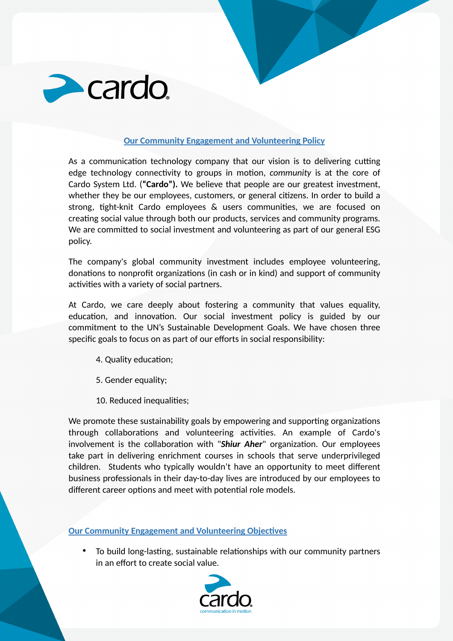

## **Our Community Engagement and Volunteering Policy**

As a communication technology company that our vision is to delivering cutting edge technology connectivity to groups in motion, *community* is at the core of Cardo System Ltd. (**"Cardo").** We believe that people are our greatest investment, whether they be our employees, customers, or general citizens. In order to build a strong, tight-knit Cardo employees & users communities, we are focused on creating social value through both our products, services and community programs. We are committed to social investment and volunteering as part of our general ESG policy.

The company's global community investment includes employee volunteering, donations to nonprofit organizations (in cash or in kind) and support of community activities with a variety of social partners.

At Cardo, we care deeply about fostering a community that values equality, education, and innovation. Our social investment policy is guided by our commitment to the UN's Sustainable Development Goals. We have chosen three specific goals to focus on as part of our efforts in social responsibility:

- 4. Quality education;
- 5. Gender equality;
- 10. Reduced inequalities;

We promote these sustainability goals by empowering and supporting organizations through collaborations and volunteering activities. An example of Cardo's involvement is the collaboration with "*Shiur Aher*" organization. Our employees take part in delivering enrichment courses in schools that serve underprivileged children. Students who typically wouldn't have an opportunity to meet different business professionals in their day-to-day lives are introduced by our employees to different career options and meet with potential role models.

**Our Community Engagement and Volunteering Objectives** 

• To build long-lasting, sustainable relationships with our community partners in an effort to create social value.